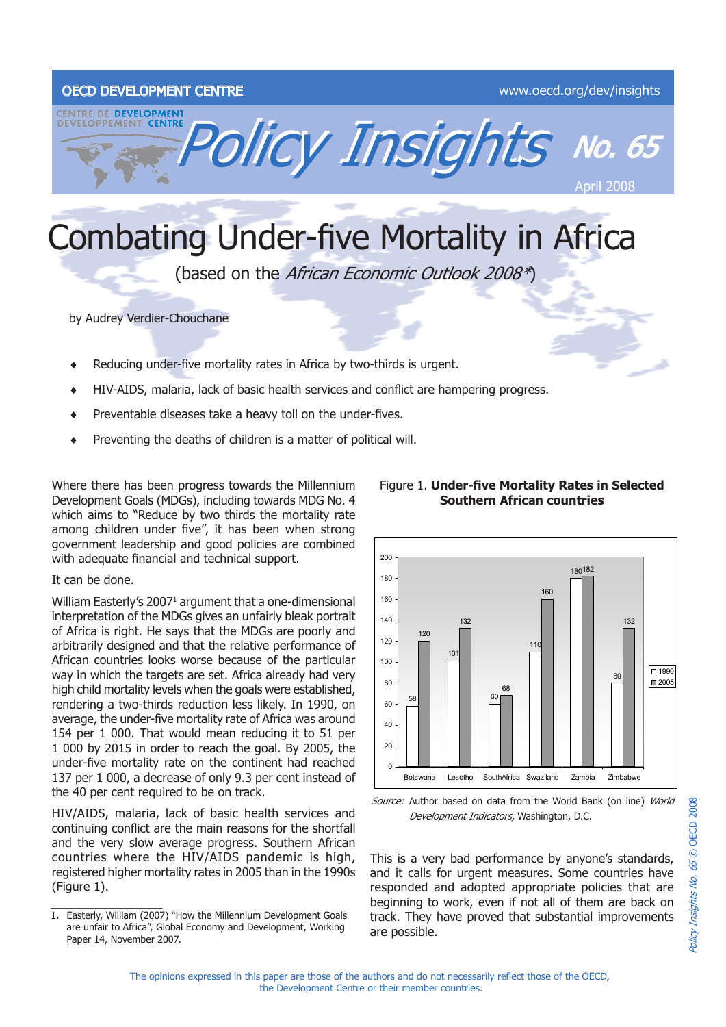# OECD DEVELOPMENT CENTRE WWW.oecd.org/dev/insights



# Combating Under-five Mortality in Africa

(based on the African Economic Outlook 2008\*)

by Audrey Verdier-Chouchane

- Reducing under-five mortality rates in Africa by two-thirds is urgent. ♦
- HIV-AIDS, malaria, lack of basic health services and conflict are hampering progress. ♦
- Preventable diseases take a heavy toll on the under-fives. ♦
- Preventing the deaths of children is a matter of political will. ♦

Where there has been progress towards the Millennium Development Goals (MDGs), including towards MDG No. 4 which aims to "Reduce by two thirds the mortality rate among children under five", it has been when strong government leadership and good policies are combined with adequate financial and technical support.

## It can be done.

William Easterly's 2007<sup>1</sup> argument that a one-dimensional interpretation of the MDGs gives an unfairly bleak portrait of Africa is right. He says that the MDGs are poorly and arbitrarily designed and that the relative performance of African countries looks worse because of the particular way in which the targets are set. Africa already had very high child mortality levels when the goals were established, rendering a two-thirds reduction less likely. In 1990, on average, the under-five mortality rate of Africa was around 154 per 1 000. That would mean reducing it to 51 per 1 000 by 2015 in order to reach the goal. By 2005, the under-five mortality rate on the continent had reached 137 per 1 000, a decrease of only 9.3 per cent instead of the 40 per cent required to be on track.

HIV/AIDS, malaria, lack of basic health services and continuing conflict are the main reasons for the shortfall and the very slow average progress. Southern African countries where the HIV/AIDS pandemic is high, registered higher mortality rates in 2005 than in the 1990s (Figure 1).

#### 58 101 60 110 180 182 80 120 132 68 160 132  $\overline{0}$  $20$ 40 60  $80$ 100 120 140 160 180  $200$  Botswana Lesotho SouthAfrica Swaziland Zambia Zimbabwe  $\boxed{ \square$  1990  $\Box$ 2005

Source: Author based on data from the World Bank (on line) World Development Indicators, Washington, D.C.

This is a very bad performance by anyone's standards, and it calls for urgent measures. Some countries have responded and adopted appropriate policies that are beginning to work, even if not all of them are back on track. They have proved that substantial improvements are possible.

## Figure 1. **Under-five Mortality Rates in Selected Southern African countries**

<sup>1.</sup> Easterly, William (2007) "How the Millennium Development Goals are unfair to Africa", Global Economy and Development, Working Paper 14, November 2007.